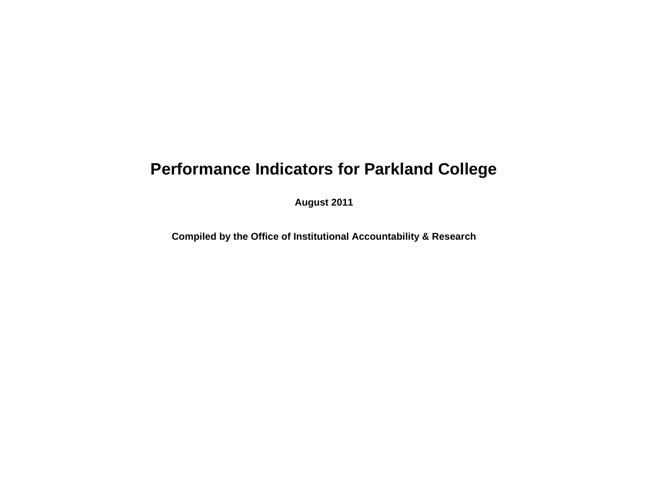## **Performance Indicators for Parkland College**

**August 2011**

**Compiled by the Office of Institutional Accountability & Research**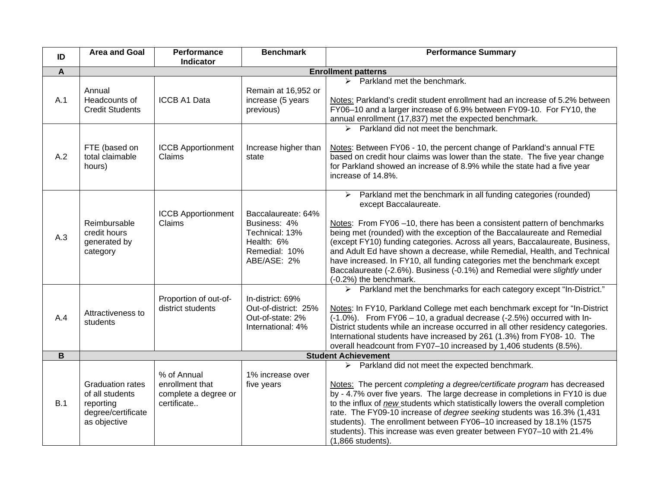| ID             | <b>Area and Goal</b>                                                                          | Performance<br>Indicator                                              | <b>Benchmark</b>                                                                                   | <b>Performance Summary</b>                                                                                                                                                                                                                                                                                                                                                                                                                                                                                                                                                                                    |  |
|----------------|-----------------------------------------------------------------------------------------------|-----------------------------------------------------------------------|----------------------------------------------------------------------------------------------------|---------------------------------------------------------------------------------------------------------------------------------------------------------------------------------------------------------------------------------------------------------------------------------------------------------------------------------------------------------------------------------------------------------------------------------------------------------------------------------------------------------------------------------------------------------------------------------------------------------------|--|
| $\overline{A}$ | <b>Enrollment patterns</b>                                                                    |                                                                       |                                                                                                    |                                                                                                                                                                                                                                                                                                                                                                                                                                                                                                                                                                                                               |  |
| A.1            | Annual<br>Headcounts of<br><b>Credit Students</b>                                             | <b>ICCB A1 Data</b>                                                   | Remain at 16,952 or<br>increase (5 years<br>previous)                                              | $\triangleright$ Parkland met the benchmark.<br>Notes: Parkland's credit student enrollment had an increase of 5.2% between<br>FY06-10 and a larger increase of 6.9% between FY09-10. For FY10, the<br>annual enrollment (17,837) met the expected benchmark.                                                                                                                                                                                                                                                                                                                                                 |  |
| A.2            | FTE (based on<br>total claimable<br>hours)                                                    | <b>ICCB Apportionment</b><br>Claims                                   | Increase higher than<br>state                                                                      | $\triangleright$ Parkland did not meet the benchmark.<br>Notes: Between FY06 - 10, the percent change of Parkland's annual FTE<br>based on credit hour claims was lower than the state. The five year change<br>for Parkland showed an increase of 8.9% while the state had a five year<br>increase of 14.8%.                                                                                                                                                                                                                                                                                                 |  |
| A.3            | Reimbursable<br>credit hours<br>generated by<br>category                                      | <b>ICCB Apportionment</b><br>Claims                                   | Baccalaureate: 64%<br>Business: 4%<br>Technical: 13%<br>Health: 6%<br>Remedial: 10%<br>ABE/ASE: 2% | $\triangleright$ Parkland met the benchmark in all funding categories (rounded)<br>except Baccalaureate.<br>Notes: From FY06-10, there has been a consistent pattern of benchmarks<br>being met (rounded) with the exception of the Baccalaureate and Remedial<br>(except FY10) funding categories. Across all years, Baccalaureate, Business,<br>and Adult Ed have shown a decrease, while Remedial, Health, and Technical<br>have increased. In FY10, all funding categories met the benchmark except<br>Baccalaureate (-2.6%). Business (-0.1%) and Remedial were slightly under<br>(-0.2%) the benchmark. |  |
| A.4            | Attractiveness to<br>students                                                                 | Proportion of out-of-<br>district students                            | In-district: 69%<br>Out-of-district: 25%<br>Out-of-state: 2%<br>International: 4%                  | > Parkland met the benchmarks for each category except "In-District."<br>Notes: In FY10, Parkland College met each benchmark except for "In-District<br>(-1.0%). From FY06 - 10, a gradual decrease (-2.5%) occurred with In-<br>District students while an increase occurred in all other residency categories.<br>International students have increased by 261 (1.3%) from FY08-10. The<br>overall headcount from FY07-10 increased by 1,406 students (8.5%).                                                                                                                                               |  |
| B              |                                                                                               |                                                                       |                                                                                                    | <b>Student Achievement</b>                                                                                                                                                                                                                                                                                                                                                                                                                                                                                                                                                                                    |  |
| B.1            | <b>Graduation rates</b><br>of all students<br>reporting<br>degree/certificate<br>as objective | % of Annual<br>enrollment that<br>complete a degree or<br>certificate | 1% increase over<br>five years                                                                     | $\triangleright$ Parkland did not meet the expected benchmark.<br>Notes: The percent completing a degree/certificate program has decreased<br>by - 4.7% over five years. The large decrease in completions in FY10 is due<br>to the influx of new students which statistically lowers the overall completion<br>rate. The FY09-10 increase of degree seeking students was 16.3% (1,431<br>students). The enrollment between FY06-10 increased by 18.1% (1575<br>students). This increase was even greater between FY07-10 with 21.4%<br>(1,866 students).                                                     |  |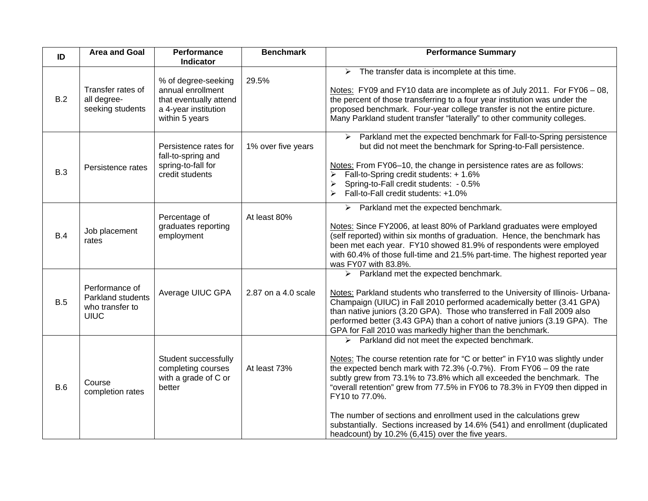| ID         | <b>Area and Goal</b>                                                  | Performance<br>Indicator                                                                                     | <b>Benchmark</b>    | <b>Performance Summary</b>                                                                                                                                                                                                                                                                                                                                                                                                                                                                                                                                                                                    |
|------------|-----------------------------------------------------------------------|--------------------------------------------------------------------------------------------------------------|---------------------|---------------------------------------------------------------------------------------------------------------------------------------------------------------------------------------------------------------------------------------------------------------------------------------------------------------------------------------------------------------------------------------------------------------------------------------------------------------------------------------------------------------------------------------------------------------------------------------------------------------|
| B.2        | Transfer rates of<br>all degree-<br>seeking students                  | % of degree-seeking<br>annual enrollment<br>that eventually attend<br>a 4-year institution<br>within 5 years | 29.5%               | $\triangleright$ The transfer data is incomplete at this time.<br>Notes: FY09 and FY10 data are incomplete as of July 2011. For FY06 - 08,<br>the percent of those transferring to a four year institution was under the<br>proposed benchmark. Four-year college transfer is not the entire picture.<br>Many Parkland student transfer "laterally" to other community colleges.                                                                                                                                                                                                                              |
| <b>B.3</b> | Persistence rates                                                     | Persistence rates for<br>fall-to-spring and<br>spring-to-fall for<br>credit students                         | 1% over five years  | > Parkland met the expected benchmark for Fall-to-Spring persistence<br>but did not meet the benchmark for Spring-to-Fall persistence.<br>Notes: From FY06-10, the change in persistence rates are as follows:<br>Fall-to-Spring credit students: + 1.6%<br>$\blacktriangleright$<br>Spring-to-Fall credit students: - 0.5%<br>Fall-to-Fall credit students: +1.0%                                                                                                                                                                                                                                            |
| <b>B.4</b> | Job placement<br>rates                                                | Percentage of<br>graduates reporting<br>employment                                                           | At least 80%        | $\triangleright$ Parkland met the expected benchmark.<br>Notes: Since FY2006, at least 80% of Parkland graduates were employed<br>(self reported) within six months of graduation. Hence, the benchmark has<br>been met each year. FY10 showed 81.9% of respondents were employed<br>with 60.4% of those full-time and 21.5% part-time. The highest reported year<br>was FY07 with 83.8%.                                                                                                                                                                                                                     |
| <b>B.5</b> | Performance of<br>Parkland students<br>who transfer to<br><b>UIUC</b> | Average UIUC GPA                                                                                             | 2.87 on a 4.0 scale | $\triangleright$ Parkland met the expected benchmark.<br>Notes: Parkland students who transferred to the University of Illinois- Urbana-<br>Champaign (UIUC) in Fall 2010 performed academically better (3.41 GPA)<br>than native juniors (3.20 GPA). Those who transferred in Fall 2009 also<br>performed better (3.43 GPA) than a cohort of native juniors (3.19 GPA). The<br>GPA for Fall 2010 was markedly higher than the benchmark.                                                                                                                                                                     |
| B.6        | Course<br>completion rates                                            | Student successfully<br>completing courses<br>with a grade of C or<br>better                                 | At least 73%        | $\triangleright$ Parkland did not meet the expected benchmark.<br>Notes: The course retention rate for "C or better" in FY10 was slightly under<br>the expected bench mark with $72.3\%$ (-0.7%). From FY06 - 09 the rate<br>subtly grew from 73.1% to 73.8% which all exceeded the benchmark. The<br>"overall retention" grew from 77.5% in FY06 to 78.3% in FY09 then dipped in<br>FY10 to 77.0%.<br>The number of sections and enrollment used in the calculations grew<br>substantially. Sections increased by 14.6% (541) and enrollment (duplicated<br>headcount) by 10.2% (6,415) over the five years. |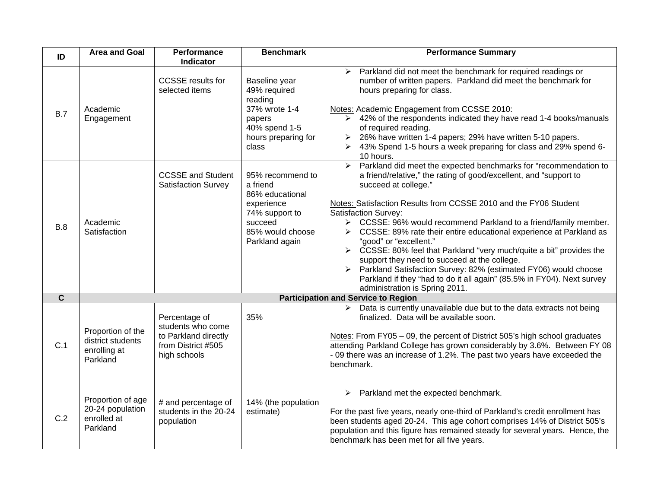| ID                      | <b>Area and Goal</b>                                               | Performance<br>Indicator                                                                         | <b>Benchmark</b>                                                                                                                 | <b>Performance Summary</b>                                                                                                                                                                                                                                                                                                                                                                                                                                                                                                                                                                                                                                                                                                                                                                                                    |  |  |
|-------------------------|--------------------------------------------------------------------|--------------------------------------------------------------------------------------------------|----------------------------------------------------------------------------------------------------------------------------------|-------------------------------------------------------------------------------------------------------------------------------------------------------------------------------------------------------------------------------------------------------------------------------------------------------------------------------------------------------------------------------------------------------------------------------------------------------------------------------------------------------------------------------------------------------------------------------------------------------------------------------------------------------------------------------------------------------------------------------------------------------------------------------------------------------------------------------|--|--|
| B.7                     | Academic<br>Engagement                                             | <b>CCSSE</b> results for<br>selected items                                                       | Baseline year<br>49% required<br>reading<br>37% wrote 1-4<br>papers<br>40% spend 1-5<br>hours preparing for<br>class             | > Parkland did not meet the benchmark for required readings or<br>number of written papers. Parkland did meet the benchmark for<br>hours preparing for class.<br>Notes: Academic Engagement from CCSSE 2010:<br>> 42% of the respondents indicated they have read 1-4 books/manuals<br>of required reading.<br>26% have written 1-4 papers; 29% have written 5-10 papers.<br>> 43% Spend 1-5 hours a week preparing for class and 29% spend 6-<br>10 hours.                                                                                                                                                                                                                                                                                                                                                                   |  |  |
| B.8                     | Academic<br>Satisfaction                                           | <b>CCSSE and Student</b><br><b>Satisfaction Survey</b>                                           | 95% recommend to<br>a friend<br>86% educational<br>experience<br>74% support to<br>succeed<br>85% would choose<br>Parkland again | $\triangleright$ Parkland did meet the expected benchmarks for "recommendation to<br>a friend/relative," the rating of good/excellent, and "support to<br>succeed at college."<br>Notes: Satisfaction Results from CCSSE 2010 and the FY06 Student<br><b>Satisfaction Survey:</b><br>> CCSSE: 96% would recommend Parkland to a friend/family member.<br>CCSSE: 89% rate their entire educational experience at Parkland as<br>$\blacktriangleright$<br>"good" or "excellent."<br>$\triangleright$ CCSSE: 80% feel that Parkland "very much/quite a bit" provides the<br>support they need to succeed at the college.<br>Parkland Satisfaction Survey: 82% (estimated FY06) would choose<br>$\blacktriangleright$<br>Parkland if they "had to do it all again" (85.5% in FY04). Next survey<br>administration is Spring 2011. |  |  |
| $\overline{\mathbf{c}}$ | <b>Participation and Service to Region</b>                         |                                                                                                  |                                                                                                                                  |                                                                                                                                                                                                                                                                                                                                                                                                                                                                                                                                                                                                                                                                                                                                                                                                                               |  |  |
| C.1                     | Proportion of the<br>district students<br>enrolling at<br>Parkland | Percentage of<br>students who come<br>to Parkland directly<br>from District #505<br>high schools | 35%                                                                                                                              | Data is currently unavailable due but to the data extracts not being<br>≻<br>finalized. Data will be available soon.<br>Notes: From FY05 - 09, the percent of District 505's high school graduates<br>attending Parkland College has grown considerably by 3.6%. Between FY 08<br>- 09 there was an increase of 1.2%. The past two years have exceeded the<br>benchmark.                                                                                                                                                                                                                                                                                                                                                                                                                                                      |  |  |
| C.2                     | Proportion of age<br>20-24 population<br>enrolled at<br>Parkland   | # and percentage of<br>students in the 20-24<br>population                                       | 14% (the population<br>estimate)                                                                                                 | Parkland met the expected benchmark.<br>$\blacktriangleright$<br>For the past five years, nearly one-third of Parkland's credit enrollment has<br>been students aged 20-24. This age cohort comprises 14% of District 505's<br>population and this figure has remained steady for several years. Hence, the<br>benchmark has been met for all five years.                                                                                                                                                                                                                                                                                                                                                                                                                                                                     |  |  |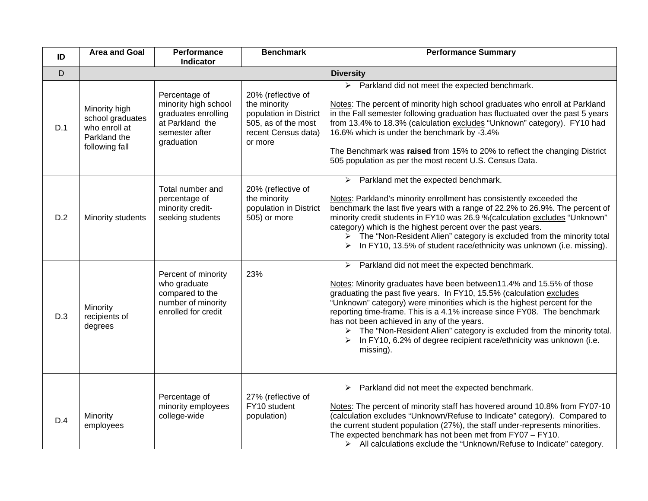| ID  | <b>Area and Goal</b>                                                                 | Performance<br><b>Indicator</b>                                                                                 | <b>Benchmark</b>                                                                                                      | <b>Performance Summary</b>                                                                                                                                                                                                                                                                                                                                                                                                                                                                                                                                                             |  |
|-----|--------------------------------------------------------------------------------------|-----------------------------------------------------------------------------------------------------------------|-----------------------------------------------------------------------------------------------------------------------|----------------------------------------------------------------------------------------------------------------------------------------------------------------------------------------------------------------------------------------------------------------------------------------------------------------------------------------------------------------------------------------------------------------------------------------------------------------------------------------------------------------------------------------------------------------------------------------|--|
| D   | <b>Diversity</b>                                                                     |                                                                                                                 |                                                                                                                       |                                                                                                                                                                                                                                                                                                                                                                                                                                                                                                                                                                                        |  |
| D.1 | Minority high<br>school graduates<br>who enroll at<br>Parkland the<br>following fall | Percentage of<br>minority high school<br>graduates enrolling<br>at Parkland the<br>semester after<br>graduation | 20% (reflective of<br>the minority<br>population in District<br>505, as of the most<br>recent Census data)<br>or more | $\triangleright$ Parkland did not meet the expected benchmark.<br>Notes: The percent of minority high school graduates who enroll at Parkland<br>in the Fall semester following graduation has fluctuated over the past 5 years<br>from 13.4% to 18.3% (calculation excludes "Unknown" category). FY10 had<br>16.6% which is under the benchmark by -3.4%<br>The Benchmark was raised from 15% to 20% to reflect the changing District<br>505 population as per the most recent U.S. Census Data.                                                                                      |  |
| D.2 | Minority students                                                                    | Total number and<br>percentage of<br>minority credit-<br>seeking students                                       | 20% (reflective of<br>the minority<br>population in District<br>505) or more                                          | $\triangleright$ Parkland met the expected benchmark.<br>Notes: Parkland's minority enrollment has consistently exceeded the<br>benchmark the last five years with a range of 22.2% to 26.9%. The percent of<br>minority credit students in FY10 was 26.9 % (calculation excludes "Unknown"<br>category) which is the highest percent over the past years.<br>> The "Non-Resident Alien" category is excluded from the minority total<br>In FY10, 13.5% of student race/ethnicity was unknown (i.e. missing).                                                                          |  |
| D.3 | Minority<br>recipients of<br>degrees                                                 | Percent of minority<br>who graduate<br>compared to the<br>number of minority<br>enrolled for credit             | 23%                                                                                                                   | $\triangleright$ Parkland did not meet the expected benchmark.<br>Notes: Minority graduates have been between11.4% and 15.5% of those<br>graduating the past five years. In FY10, 15.5% (calculation excludes<br>"Unknown" category) were minorities which is the highest percent for the<br>reporting time-frame. This is a 4.1% increase since FY08. The benchmark<br>has not been achieved in any of the years.<br>> The "Non-Resident Alien" category is excluded from the minority total.<br>In FY10, 6.2% of degree recipient race/ethnicity was unknown (i.e.<br>➤<br>missing). |  |
| D.4 | Minority<br>employees                                                                | Percentage of<br>minority employees<br>college-wide                                                             | 27% (reflective of<br>FY10 student<br>population)                                                                     | $\triangleright$ Parkland did not meet the expected benchmark.<br>Notes: The percent of minority staff has hovered around 10.8% from FY07-10<br>(calculation excludes "Unknown/Refuse to Indicate" category). Compared to<br>the current student population (27%), the staff under-represents minorities.<br>The expected benchmark has not been met from FY07 - FY10.<br>> All calculations exclude the "Unknown/Refuse to Indicate" category.                                                                                                                                        |  |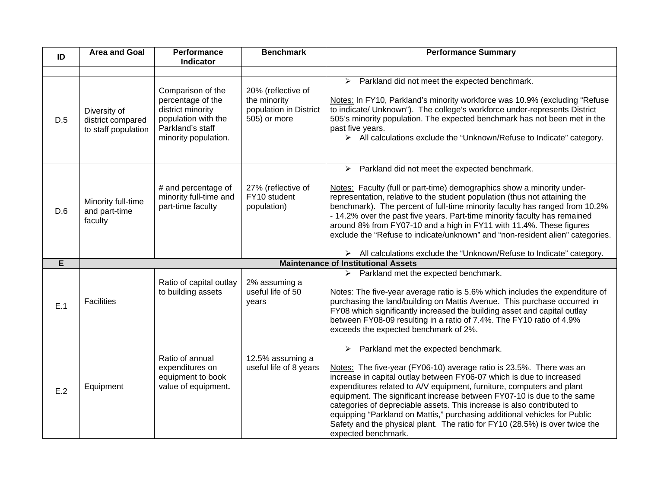| ID  | <b>Area and Goal</b>                                     | Performance<br>Indicator                                                                                                       | <b>Benchmark</b>                                                             | <b>Performance Summary</b>                                                                                                                                                                                                                                                                                                                                                                                                                                                                                                                                                                                           |
|-----|----------------------------------------------------------|--------------------------------------------------------------------------------------------------------------------------------|------------------------------------------------------------------------------|----------------------------------------------------------------------------------------------------------------------------------------------------------------------------------------------------------------------------------------------------------------------------------------------------------------------------------------------------------------------------------------------------------------------------------------------------------------------------------------------------------------------------------------------------------------------------------------------------------------------|
|     |                                                          |                                                                                                                                |                                                                              |                                                                                                                                                                                                                                                                                                                                                                                                                                                                                                                                                                                                                      |
| D.5 | Diversity of<br>district compared<br>to staff population | Comparison of the<br>percentage of the<br>district minority<br>population with the<br>Parkland's staff<br>minority population. | 20% (reflective of<br>the minority<br>population in District<br>505) or more | $\triangleright$ Parkland did not meet the expected benchmark.<br>Notes: In FY10, Parkland's minority workforce was 10.9% (excluding "Refuse<br>to indicate/ Unknown"). The college's workforce under-represents District<br>505's minority population. The expected benchmark has not been met in the<br>past five years.<br>> All calculations exclude the "Unknown/Refuse to Indicate" category.                                                                                                                                                                                                                  |
| D.6 | Minority full-time<br>and part-time<br>faculty           | # and percentage of<br>minority full-time and<br>part-time faculty                                                             | 27% (reflective of<br>FY10 student<br>population)                            | Parkland did not meet the expected benchmark.<br>$\blacktriangleright$<br>Notes: Faculty (full or part-time) demographics show a minority under-<br>representation, relative to the student population (thus not attaining the<br>benchmark). The percent of full-time minority faculty has ranged from 10.2%<br>- 14.2% over the past five years. Part-time minority faculty has remained<br>around 8% from FY07-10 and a high in FY11 with 11.4%. These figures<br>exclude the "Refuse to indicate/unknown" and "non-resident alien" categories.                                                                   |
| E   |                                                          |                                                                                                                                |                                                                              | > All calculations exclude the "Unknown/Refuse to Indicate" category.<br><b>Maintenance of Institutional Assets</b>                                                                                                                                                                                                                                                                                                                                                                                                                                                                                                  |
|     |                                                          |                                                                                                                                |                                                                              |                                                                                                                                                                                                                                                                                                                                                                                                                                                                                                                                                                                                                      |
| E.1 | <b>Facilities</b>                                        | Ratio of capital outlay<br>to building assets                                                                                  | 2% assuming a<br>useful life of 50<br>years                                  | Parkland met the expected benchmark.<br>➤<br>Notes: The five-year average ratio is 5.6% which includes the expenditure of<br>purchasing the land/building on Mattis Avenue. This purchase occurred in<br>FY08 which significantly increased the building asset and capital outlay<br>between FY08-09 resulting in a ratio of 7.4%. The FY10 ratio of 4.9%<br>exceeds the expected benchmark of 2%.                                                                                                                                                                                                                   |
| E.2 | Equipment                                                | Ratio of annual<br>expenditures on<br>equipment to book<br>value of equipment.                                                 | 12.5% assuming a<br>useful life of 8 years                                   | $\triangleright$ Parkland met the expected benchmark.<br>Notes: The five-year (FY06-10) average ratio is 23.5%. There was an<br>increase in capital outlay between FY06-07 which is due to increased<br>expenditures related to A/V equipment, furniture, computers and plant<br>equipment. The significant increase between FY07-10 is due to the same<br>categories of depreciable assets. This increase is also contributed to<br>equipping "Parkland on Mattis," purchasing additional vehicles for Public<br>Safety and the physical plant. The ratio for FY10 (28.5%) is over twice the<br>expected benchmark. |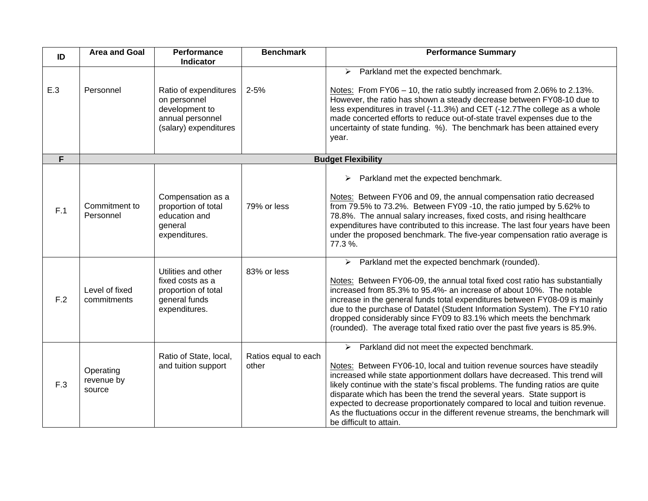| ID  | <b>Area and Goal</b>              | Performance<br>Indicator                                                                             | <b>Benchmark</b>              | <b>Performance Summary</b>                                                                                                                                                                                                                                                                                                                                                                                                                                                                                                                                                       |
|-----|-----------------------------------|------------------------------------------------------------------------------------------------------|-------------------------------|----------------------------------------------------------------------------------------------------------------------------------------------------------------------------------------------------------------------------------------------------------------------------------------------------------------------------------------------------------------------------------------------------------------------------------------------------------------------------------------------------------------------------------------------------------------------------------|
| E.3 | Personnel                         | Ratio of expenditures<br>on personnel<br>development to<br>annual personnel<br>(salary) expenditures | $2 - 5%$                      | Parkland met the expected benchmark.<br>➤<br>Notes: From FY06 - 10, the ratio subtly increased from 2.06% to 2.13%.<br>However, the ratio has shown a steady decrease between FY08-10 due to<br>less expenditures in travel (-11.3%) and CET (-12.7The college as a whole<br>made concerted efforts to reduce out-of-state travel expenses due to the<br>uncertainty of state funding. %). The benchmark has been attained every<br>year.                                                                                                                                        |
| F   |                                   |                                                                                                      |                               | <b>Budget Flexibility</b>                                                                                                                                                                                                                                                                                                                                                                                                                                                                                                                                                        |
| F.1 | Commitment to<br>Personnel        | Compensation as a<br>proportion of total<br>education and<br>general<br>expenditures.                | 79% or less                   | Parkland met the expected benchmark.<br>➤<br>Notes: Between FY06 and 09, the annual compensation ratio decreased<br>from 79.5% to 73.2%. Between FY09 -10, the ratio jumped by 5.62% to<br>78.8%. The annual salary increases, fixed costs, and rising healthcare<br>expenditures have contributed to this increase. The last four years have been<br>under the proposed benchmark. The five-year compensation ratio average is<br>77.3%.                                                                                                                                        |
| F.2 | Level of fixed<br>commitments     | Utilities and other<br>fixed costs as a<br>proportion of total<br>general funds<br>expenditures.     | 83% or less                   | Parkland met the expected benchmark (rounded).<br>➤<br>Notes: Between FY06-09, the annual total fixed cost ratio has substantially<br>increased from 85.3% to 95.4%- an increase of about 10%. The notable<br>increase in the general funds total expenditures between FY08-09 is mainly<br>due to the purchase of Datatel (Student Information System). The FY10 ratio<br>dropped considerably since FY09 to 83.1% which meets the benchmark<br>(rounded). The average total fixed ratio over the past five years is 85.9%.                                                     |
| F.3 | Operating<br>revenue by<br>source | Ratio of State, local,<br>and tuition support                                                        | Ratios equal to each<br>other | $\triangleright$ Parkland did not meet the expected benchmark.<br>Notes: Between FY06-10, local and tuition revenue sources have steadily<br>increased while state apportionment dollars have decreased. This trend will<br>likely continue with the state's fiscal problems. The funding ratios are quite<br>disparate which has been the trend the several years. State support is<br>expected to decrease proportionately compared to local and tuition revenue.<br>As the fluctuations occur in the different revenue streams, the benchmark will<br>be difficult to attain. |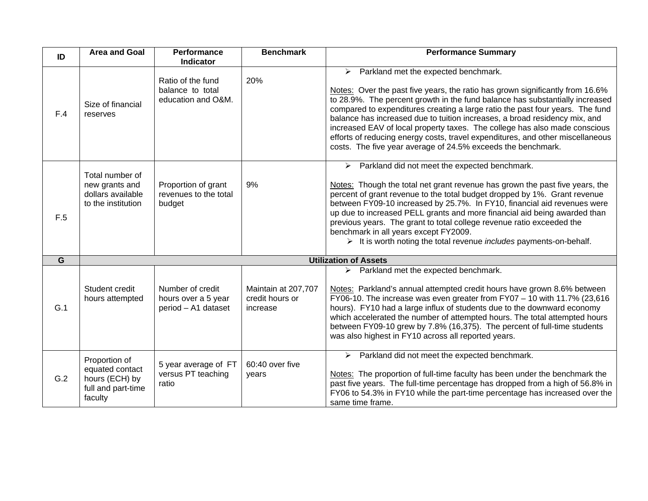| ID             | <b>Area and Goal</b>                                                                | <b>Performance</b><br><b>Indicator</b>                         | <b>Benchmark</b>                                   | <b>Performance Summary</b>                                                                                                                                                                                                                                                                                                                                                                                                                                                                                                                                                                                            |  |
|----------------|-------------------------------------------------------------------------------------|----------------------------------------------------------------|----------------------------------------------------|-----------------------------------------------------------------------------------------------------------------------------------------------------------------------------------------------------------------------------------------------------------------------------------------------------------------------------------------------------------------------------------------------------------------------------------------------------------------------------------------------------------------------------------------------------------------------------------------------------------------------|--|
| F.4            | Size of financial<br>reserves                                                       | Ratio of the fund<br>balance to total<br>education and O&M.    | 20%                                                | $\triangleright$ Parkland met the expected benchmark.<br>Notes: Over the past five years, the ratio has grown significantly from 16.6%<br>to 28.9%. The percent growth in the fund balance has substantially increased<br>compared to expenditures creating a large ratio the past four years. The fund<br>balance has increased due to tuition increases, a broad residency mix, and<br>increased EAV of local property taxes. The college has also made conscious<br>efforts of reducing energy costs, travel expenditures, and other miscellaneous<br>costs. The five year average of 24.5% exceeds the benchmark. |  |
| F.5            | Total number of<br>new grants and<br>dollars available<br>to the institution        | Proportion of grant<br>revenues to the total<br>budget         | 9%                                                 | $\triangleright$ Parkland did not meet the expected benchmark.<br>Notes: Though the total net grant revenue has grown the past five years, the<br>percent of grant revenue to the total budget dropped by 1%. Grant revenue<br>between FY09-10 increased by 25.7%. In FY10, financial aid revenues were<br>up due to increased PELL grants and more financial aid being awarded than<br>previous years. The grant to total college revenue ratio exceeded the<br>benchmark in all years except FY2009.<br>> It is worth noting the total revenue <i>includes</i> payments-on-behalf.                                  |  |
| $\overline{G}$ | <b>Utilization of Assets</b>                                                        |                                                                |                                                    |                                                                                                                                                                                                                                                                                                                                                                                                                                                                                                                                                                                                                       |  |
| G.1            | Student credit<br>hours attempted                                                   | Number of credit<br>hours over a 5 year<br>period - A1 dataset | Maintain at 207,707<br>credit hours or<br>increase | Parkland met the expected benchmark.<br>➤<br>Notes: Parkland's annual attempted credit hours have grown 8.6% between<br>FY06-10. The increase was even greater from FY07 $-$ 10 with 11.7% (23,616<br>hours). FY10 had a large influx of students due to the downward economy<br>which accelerated the number of attempted hours. The total attempted hours<br>between FY09-10 grew by 7.8% (16,375). The percent of full-time students<br>was also highest in FY10 across all reported years.                                                                                                                        |  |
| G.2            | Proportion of<br>equated contact<br>hours (ECH) by<br>full and part-time<br>faculty | 5 year average of FT<br>versus PT teaching<br>ratio            | 60:40 over five<br>years                           | $\triangleright$ Parkland did not meet the expected benchmark.<br>Notes: The proportion of full-time faculty has been under the benchmark the<br>past five years. The full-time percentage has dropped from a high of 56.8% in<br>FY06 to 54.3% in FY10 while the part-time percentage has increased over the<br>same time frame.                                                                                                                                                                                                                                                                                     |  |